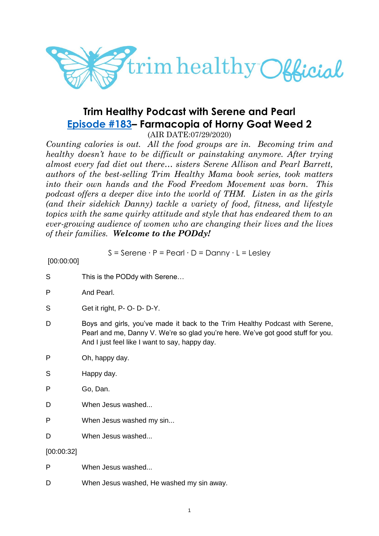

# **Trim Healthy Podcast with Serene and Pearl [Episode #183](https://cms.megaphone.fm/channel/trimhealthypodcast?selected=ADL2046666796)– Farmacopia of Horny Goat Weed 2**

(AIR DATE:07/29/2020)

*Counting calories is out. All the food groups are in. Becoming trim and healthy doesn't have to be difficult or painstaking anymore. After trying almost every fad diet out there… sisters Serene Allison and Pearl Barrett, authors of the best-selling Trim Healthy Mama book series, took matters into their own hands and the Food Freedom Movement was born. This podcast offers a deeper dive into the world of THM. Listen in as the girls (and their sidekick Danny) tackle a variety of food, fitness, and lifestyle topics with the same quirky attitude and style that has endeared them to an ever-growing audience of women who are changing their lives and the lives of their families. Welcome to the PODdy!*

S = Serene ∙ P = Pearl ∙ D = Danny ∙ L = Lesley

[00:00:00]

| S          | This is the PODdy with Serene                                                                                                                                                                                     |
|------------|-------------------------------------------------------------------------------------------------------------------------------------------------------------------------------------------------------------------|
| P          | And Pearl.                                                                                                                                                                                                        |
| S          | Get it right, P- O- D- D-Y.                                                                                                                                                                                       |
| D          | Boys and girls, you've made it back to the Trim Healthy Podcast with Serene,<br>Pearl and me, Danny V. We're so glad you're here. We've got good stuff for you.<br>And I just feel like I want to say, happy day. |
| P          | Oh, happy day.                                                                                                                                                                                                    |
| S          | Happy day.                                                                                                                                                                                                        |
| P          | Go, Dan.                                                                                                                                                                                                          |
| D          | When Jesus washed                                                                                                                                                                                                 |
| P          | When Jesus washed my sin                                                                                                                                                                                          |
| D          | When Jesus washed                                                                                                                                                                                                 |
| [00:00:32] |                                                                                                                                                                                                                   |
| P          | When Jesus washed                                                                                                                                                                                                 |

D When Jesus washed, He washed my sin away.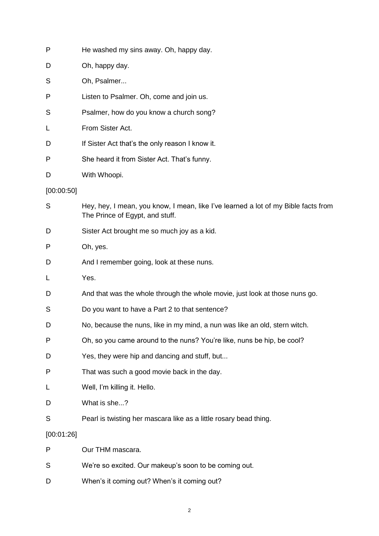| P          | He washed my sins away. Oh, happy day.                                                                                |
|------------|-----------------------------------------------------------------------------------------------------------------------|
| D          | Oh, happy day.                                                                                                        |
| S          | Oh, Psalmer                                                                                                           |
| P          | Listen to Psalmer. Oh, come and join us.                                                                              |
| S          | Psalmer, how do you know a church song?                                                                               |
| L          | From Sister Act.                                                                                                      |
| D          | If Sister Act that's the only reason I know it.                                                                       |
| P          | She heard it from Sister Act. That's funny.                                                                           |
| D          | With Whoopi.                                                                                                          |
| [00:00:50] |                                                                                                                       |
| S          | Hey, hey, I mean, you know, I mean, like I've learned a lot of my Bible facts from<br>The Prince of Egypt, and stuff. |
| D          | Sister Act brought me so much joy as a kid.                                                                           |
| P          | Oh, yes.                                                                                                              |
| D          | And I remember going, look at these nuns.                                                                             |
| L          | Yes.                                                                                                                  |
| D          | And that was the whole through the whole movie, just look at those nuns go.                                           |
| S          | Do you want to have a Part 2 to that sentence?                                                                        |
| D          | No, because the nuns, like in my mind, a nun was like an old, stern witch.                                            |
| P          | Oh, so you came around to the nuns? You're like, nuns be hip, be cool?                                                |
| D          | Yes, they were hip and dancing and stuff, but                                                                         |
| P          | That was such a good movie back in the day.                                                                           |
| L          | Well, I'm killing it. Hello.                                                                                          |
| D          | What is she?                                                                                                          |
| S          | Pearl is twisting her mascara like as a little rosary bead thing.                                                     |
| [00:01:26] |                                                                                                                       |
| P          | Our THM mascara.                                                                                                      |
| S          | We're so excited. Our makeup's soon to be coming out.                                                                 |
| D          | When's it coming out? When's it coming out?                                                                           |

2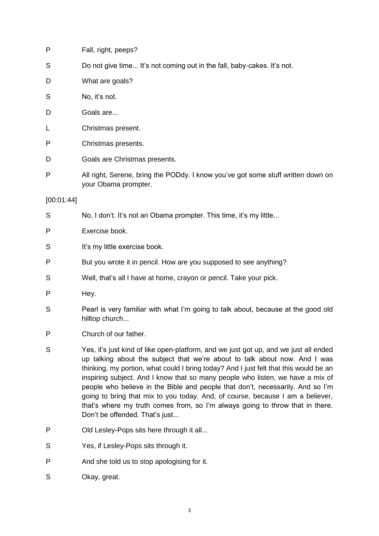| P          | Fall, right, peeps?                                                                                      |
|------------|----------------------------------------------------------------------------------------------------------|
| S          | Do not give time It's not coming out in the fall, baby-cakes. It's not.                                  |
| D          | What are goals?                                                                                          |
| S          | No, it's not.                                                                                            |
| D          | Goals are                                                                                                |
| L          | Christmas present.                                                                                       |
| P          | Christmas presents.                                                                                      |
| D          | Goals are Christmas presents.                                                                            |
| P          | All right, Serene, bring the PODdy. I know you've got some stuff written down on<br>your Obama prompter. |
| [00:01:44] |                                                                                                          |
| S          | No, I don't. It's not an Obama prompter. This time, it's my little                                       |
| P          | Exercise book.                                                                                           |
| S          | It's my little exercise book.                                                                            |
| P          | But you wrote it in pencil. How are you supposed to see anything?                                        |
| S          | Well, that's all I have at home, crayon or pencil. Take your pick.                                       |
| P          | Hey.                                                                                                     |
| S          | Pearl is very familiar with what I'm going to talk about, because at the good old<br>hilltop church      |
| P          | Church of our father.                                                                                    |

- S Yes, it's just kind of like open-platform, and we just got up, and we just all ended up talking about the subject that we're about to talk about now. And I was thinking, my portion, what could I bring today? And I just felt that this would be an inspiring subject. And I know that so many people who listen, we have a mix of people who believe in the Bible and people that don't, necessarily. And so I'm going to bring that mix to you today. And, of course, because I am a believer, that's where my truth comes from, so I'm always going to throw that in there. Don't be offended. That's just...
- P Old Lesley-Pops sits here through it all...
- S Yes, if Lesley-Pops sits through it.
- P And she told us to stop apologising for it.
- S Okay, great.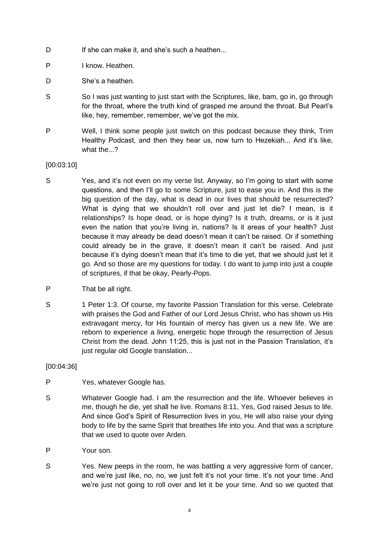- D If she can make it, and she's such a heathen...
- P I know. Heathen.
- D She's a heathen.
- S So I was just wanting to just start with the Scriptures, like, bam, go in, go through for the throat, where the truth kind of grasped me around the throat. But Pearl's like, hey, remember, remember, we've got the mix.
- P Well, I think some people just switch on this podcast because they think, Trim Healthy Podcast, and then they hear us, now turn to Hezekiah... And it's like, what the...?

## [00:03:10]

- S Yes, and it's not even on my verse list. Anyway, so I'm going to start with some questions, and then I'll go to some Scripture, just to ease you in. And this is the big question of the day, what is dead in our lives that should be resurrected? What is dying that we shouldn't roll over and just let die? I mean, is it relationships? Is hope dead, or is hope dying? Is it truth, dreams, or is it just even the nation that you're living in, nations? Is it areas of your health? Just because it may already be dead doesn't mean it can't be raised. Or if something could already be in the grave, it doesn't mean it can't be raised. And just because it's dying doesn't mean that it's time to die yet, that we should just let it go. And so those are my questions for today. I do want to jump into just a couple of scriptures, if that be okay, Pearly-Pops.
- P That be all right.
- S 1 Peter 1:3. Of course, my favorite Passion Translation for this verse. Celebrate with praises the God and Father of our Lord Jesus Christ, who has shown us His extravagant mercy, for His fountain of mercy has given us a new life. We are reborn to experience a living, energetic hope through the resurrection of Jesus Christ from the dead. John 11:25, this is just not in the Passion Translation, it's just regular old Google translation...

[00:04:36]

- P Yes, whatever Google has.
- S Whatever Google had. I am the resurrection and the life. Whoever believes in me, though he die, yet shall he live. Romans 8:11, Yes, God raised Jesus to life. And since God's Spirit of Resurrection lives in you, He will also raise your dying body to life by the same Spirit that breathes life into you. And that was a scripture that we used to quote over Arden.
- P Your son.
- S Yes. New peeps in the room, he was battling a very aggressive form of cancer, and we're just like, no, no, we just felt it's not your time. It's not your time. And we're just not going to roll over and let it be your time. And so we quoted that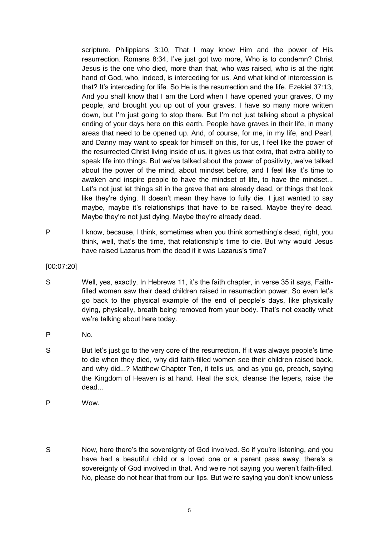scripture. Philippians 3:10, That I may know Him and the power of His resurrection. Romans 8:34, I've just got two more, Who is to condemn? Christ Jesus is the one who died, more than that, who was raised, who is at the right hand of God, who, indeed, is interceding for us. And what kind of intercession is that? It's interceding for life. So He is the resurrection and the life. Ezekiel 37:13, And you shall know that I am the Lord when I have opened your graves, O my people, and brought you up out of your graves. I have so many more written down, but I'm just going to stop there. But I'm not just talking about a physical ending of your days here on this earth. People have graves in their life, in many areas that need to be opened up. And, of course, for me, in my life, and Pearl, and Danny may want to speak for himself on this, for us, I feel like the power of the resurrected Christ living inside of us, it gives us that extra, that extra ability to speak life into things. But we've talked about the power of positivity, we've talked about the power of the mind, about mindset before, and I feel like it's time to awaken and inspire people to have the mindset of life, to have the mindset... Let's not just let things sit in the grave that are already dead, or things that look like they're dying. It doesn't mean they have to fully die. I just wanted to say maybe, maybe it's relationships that have to be raised. Maybe they're dead. Maybe they're not just dying. Maybe they're already dead.

- P I know, because, I think, sometimes when you think something's dead, right, you think, well, that's the time, that relationship's time to die. But why would Jesus have raised Lazarus from the dead if it was Lazarus's time?
- [00:07:20]
- S Well, yes, exactly. In Hebrews 11, it's the faith chapter, in verse 35 it says, Faithfilled women saw their dead children raised in resurrection power. So even let's go back to the physical example of the end of people's days, like physically dying, physically, breath being removed from your body. That's not exactly what we're talking about here today.
- P No.
- S But let's just go to the very core of the resurrection. If it was always people's time to die when they died, why did faith-filled women see their children raised back, and why did...? Matthew Chapter Ten, it tells us, and as you go, preach, saying the Kingdom of Heaven is at hand. Heal the sick, cleanse the lepers, raise the dead...
- P Wow.
- S Now, here there's the sovereignty of God involved. So if you're listening, and you have had a beautiful child or a loved one or a parent pass away, there's a sovereignty of God involved in that. And we're not saying you weren't faith-filled. No, please do not hear that from our lips. But we're saying you don't know unless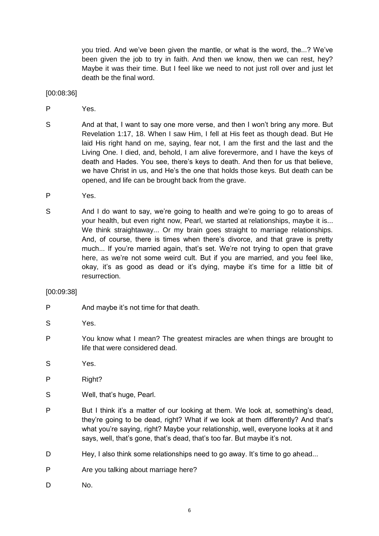you tried. And we've been given the mantle, or what is the word, the...? We've been given the job to try in faith. And then we know, then we can rest, hey? Maybe it was their time. But I feel like we need to not just roll over and just let death be the final word.

[00:08:36]

- P Yes.
- S And at that, I want to say one more verse, and then I won't bring any more. But Revelation 1:17, 18. When I saw Him, I fell at His feet as though dead. But He laid His right hand on me, saying, fear not, I am the first and the last and the Living One. I died, and, behold, I am alive forevermore, and I have the keys of death and Hades. You see, there's keys to death. And then for us that believe, we have Christ in us, and He's the one that holds those keys. But death can be opened, and life can be brought back from the grave.
- P Yes.
- S And I do want to say, we're going to health and we're going to go to areas of your health, but even right now, Pearl, we started at relationships, maybe it is... We think straightaway... Or my brain goes straight to marriage relationships. And, of course, there is times when there's divorce, and that grave is pretty much... If you're married again, that's set. We're not trying to open that grave here, as we're not some weird cult. But if you are married, and you feel like, okay, it's as good as dead or it's dying, maybe it's time for a little bit of resurrection.

## [00:09:38]

- P And maybe it's not time for that death.
- S Yes.
- P You know what I mean? The greatest miracles are when things are brought to life that were considered dead.
- S Yes.
- P Right?
- S Well, that's huge, Pearl.
- P But I think it's a matter of our looking at them. We look at, something's dead, they're going to be dead, right? What if we look at them differently? And that's what you're saying, right? Maybe your relationship, well, everyone looks at it and says, well, that's gone, that's dead, that's too far. But maybe it's not.
- D Hey, I also think some relationships need to go away. It's time to go ahead...
- P Are you talking about marriage here?
- D No.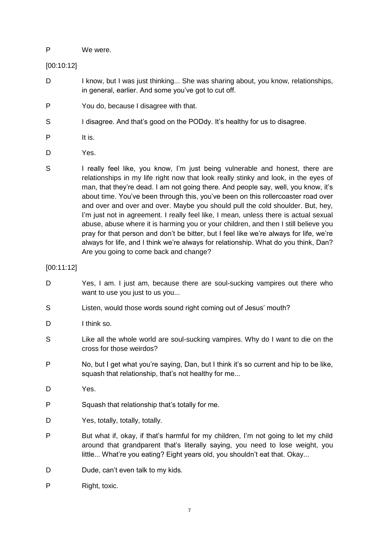## P We were.

## [00:10:12]

- D I know, but I was just thinking... She was sharing about, you know, relationships, in general, earlier. And some you've got to cut off.
- P You do, because I disagree with that.
- S I disagree. And that's good on the PODdy. It's healthy for us to disagree.
- P It is.
- D Yes.
- S I really feel like, you know, I'm just being vulnerable and honest, there are relationships in my life right now that look really stinky and look, in the eyes of man, that they're dead. I am not going there. And people say, well, you know, it's about time. You've been through this, you've been on this rollercoaster road over and over and over and over. Maybe you should pull the cold shoulder. But, hey, I'm just not in agreement. I really feel like, I mean, unless there is actual sexual abuse, abuse where it is harming you or your children, and then I still believe you pray for that person and don't be bitter, but I feel like we're always for life, we're always for life, and I think we're always for relationship. What do you think, Dan? Are you going to come back and change?

[00:11:12]

- D Yes, I am. I just am, because there are soul-sucking vampires out there who want to use you just to us you...
- S Listen, would those words sound right coming out of Jesus' mouth?
- D I think so.
- S Like all the whole world are soul-sucking vampires. Why do I want to die on the cross for those weirdos?
- P No, but I get what you're saying, Dan, but I think it's so current and hip to be like, squash that relationship, that's not healthy for me...
- D Yes.
- P Squash that relationship that's totally for me.
- D Yes, totally, totally, totally.
- P But what if, okay, if that's harmful for my children, I'm not going to let my child around that grandparent that's literally saying, you need to lose weight, you little... What're you eating? Eight years old, you shouldn't eat that. Okay...
- D Dude, can't even talk to my kids.
- P Right, toxic.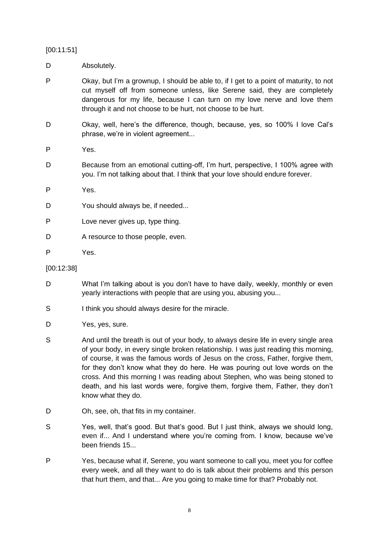## [00:11:51]

- D Absolutely.
- P Okay, but I'm a grownup, I should be able to, if I get to a point of maturity, to not cut myself off from someone unless, like Serene said, they are completely dangerous for my life, because I can turn on my love nerve and love them through it and not choose to be hurt, not choose to be hurt.
- D Okay, well, here's the difference, though, because, yes, so 100% I love Cal's phrase, we're in violent agreement...
- P Yes.
- D Because from an emotional cutting-off, I'm hurt, perspective, I 100% agree with you. I'm not talking about that. I think that your love should endure forever.
- P Yes.
- D You should always be, if needed...
- P Love never gives up, type thing.
- D A resource to those people, even.
- P Yes.

## [00:12:38]

- D What I'm talking about is you don't have to have daily, weekly, monthly or even yearly interactions with people that are using you, abusing you...
- S I think you should always desire for the miracle.
- D Yes, yes, sure.
- S And until the breath is out of your body, to always desire life in every single area of your body, in every single broken relationship. I was just reading this morning, of course, it was the famous words of Jesus on the cross, Father, forgive them, for they don't know what they do here. He was pouring out love words on the cross. And this morning I was reading about Stephen, who was being stoned to death, and his last words were, forgive them, forgive them, Father, they don't know what they do.
- D Oh, see, oh, that fits in my container.
- S Yes, well, that's good. But that's good. But I just think, always we should long, even if... And I understand where you're coming from. I know, because we've been friends 15...
- P Yes, because what if, Serene, you want someone to call you, meet you for coffee every week, and all they want to do is talk about their problems and this person that hurt them, and that... Are you going to make time for that? Probably not.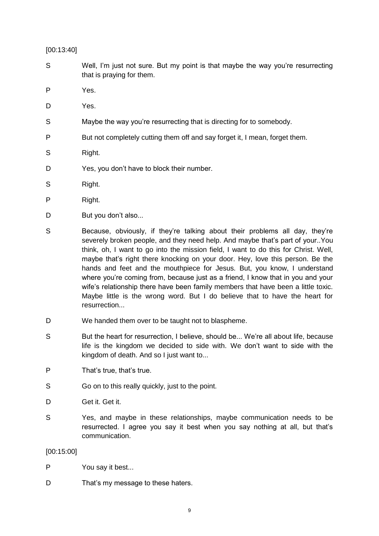[00:13:40]

- S Well, I'm just not sure. But my point is that maybe the way you're resurrecting that is praying for them.
- P Yes.
- D Yes.
- S Maybe the way you're resurrecting that is directing for to somebody.
- P But not completely cutting them off and say forget it, I mean, forget them.
- S Right.
- D Yes, you don't have to block their number.
- S Right.
- P Right.
- D But you don't also...
- S Because, obviously, if they're talking about their problems all day, they're severely broken people, and they need help. And maybe that's part of your..You think, oh, I want to go into the mission field, I want to do this for Christ. Well, maybe that's right there knocking on your door. Hey, love this person. Be the hands and feet and the mouthpiece for Jesus. But, you know, I understand where you're coming from, because just as a friend, I know that in you and your wife's relationship there have been family members that have been a little toxic. Maybe little is the wrong word. But I do believe that to have the heart for resurrection...
- D We handed them over to be taught not to blaspheme.
- S But the heart for resurrection, I believe, should be... We're all about life, because life is the kingdom we decided to side with. We don't want to side with the kingdom of death. And so I just want to...
- P That's true, that's true.
- S Go on to this really quickly, just to the point.
- D Get it. Get it.
- S Yes, and maybe in these relationships, maybe communication needs to be resurrected. I agree you say it best when you say nothing at all, but that's communication.

## [00:15:00]

- P You say it best...
- D That's my message to these haters.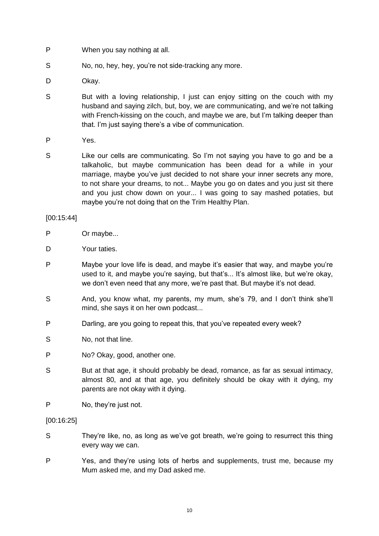- P When you say nothing at all.
- S No, no, hey, hey, you're not side-tracking any more.
- D Okay.
- S But with a loving relationship, I just can enjoy sitting on the couch with my husband and saying zilch, but, boy, we are communicating, and we're not talking with French-kissing on the couch, and maybe we are, but I'm talking deeper than that. I'm just saying there's a vibe of communication.
- P Yes.
- S Like our cells are communicating. So I'm not saying you have to go and be a talkaholic, but maybe communication has been dead for a while in your marriage, maybe you've just decided to not share your inner secrets any more, to not share your dreams, to not... Maybe you go on dates and you just sit there and you just chow down on your... I was going to say mashed potaties, but maybe you're not doing that on the Trim Healthy Plan.

## [00:15:44]

- P Or maybe...
- D Your taties.
- P Maybe your love life is dead, and maybe it's easier that way, and maybe you're used to it, and maybe you're saying, but that's... It's almost like, but we're okay, we don't even need that any more, we're past that. But maybe it's not dead.
- S And, you know what, my parents, my mum, she's 79, and I don't think she'll mind, she says it on her own podcast...
- P Darling, are you going to repeat this, that you've repeated every week?
- S No. not that line.
- P No? Okay, good, another one.
- S But at that age, it should probably be dead, romance, as far as sexual intimacy, almost 80, and at that age, you definitely should be okay with it dying, my parents are not okay with it dying.
- P No, they're just not.

#### [00:16:25]

- S They're like, no, as long as we've got breath, we're going to resurrect this thing every way we can.
- P Yes, and they're using lots of herbs and supplements, trust me, because my Mum asked me, and my Dad asked me.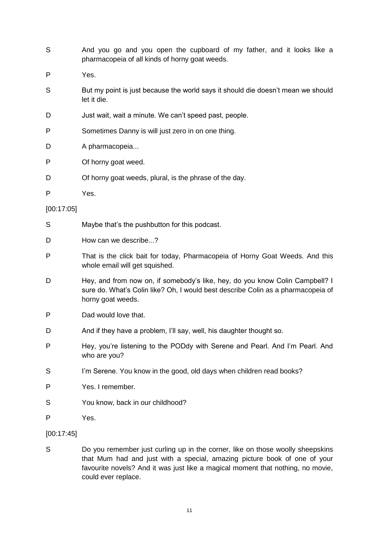| S          | And you go and you open the cupboard of my father, and it looks like a<br>pharmacopeia of all kinds of horny goat weeds.                                                              |
|------------|---------------------------------------------------------------------------------------------------------------------------------------------------------------------------------------|
| P          | Yes.                                                                                                                                                                                  |
| S          | But my point is just because the world says it should die doesn't mean we should<br>let it die.                                                                                       |
| D          | Just wait, wait a minute. We can't speed past, people.                                                                                                                                |
| P          | Sometimes Danny is will just zero in on one thing.                                                                                                                                    |
| D          | A pharmacopeia                                                                                                                                                                        |
| P          | Of horny goat weed.                                                                                                                                                                   |
| D          | Of horny goat weeds, plural, is the phrase of the day.                                                                                                                                |
| P          | Yes.                                                                                                                                                                                  |
| [00:17:05] |                                                                                                                                                                                       |
| S          | Maybe that's the pushbutton for this podcast.                                                                                                                                         |
| D          | How can we describe?                                                                                                                                                                  |
| P          | That is the click bait for today, Pharmacopeia of Horny Goat Weeds. And this<br>whole email will get squished.                                                                        |
| D          | Hey, and from now on, if somebody's like, hey, do you know Colin Campbell? I<br>sure do. What's Colin like? Oh, I would best describe Colin as a pharmacopeia of<br>horny goat weeds. |
| P          | Dad would love that.                                                                                                                                                                  |
| D          | And if they have a problem, I'll say, well, his daughter thought so.                                                                                                                  |
| P          | Hey, you're listening to the PODdy with Serene and Pearl. And I'm Pearl. And<br>who are you?                                                                                          |
| S          | I'm Serene. You know in the good, old days when children read books?                                                                                                                  |
| P          | Yes. I remember.                                                                                                                                                                      |
| S          | You know, back in our childhood?                                                                                                                                                      |
| P          | Yes.                                                                                                                                                                                  |
| [00:17:45] |                                                                                                                                                                                       |
| S          | Do you remember just curling up in the corner, like on those woolly sheepskins<br>that Mum had and just with a special amazing picture book of one of your                            |

that Mum had and just with a special, amazing picture book of one of your favourite novels? And it was just like a magical moment that nothing, no movie, could ever replace.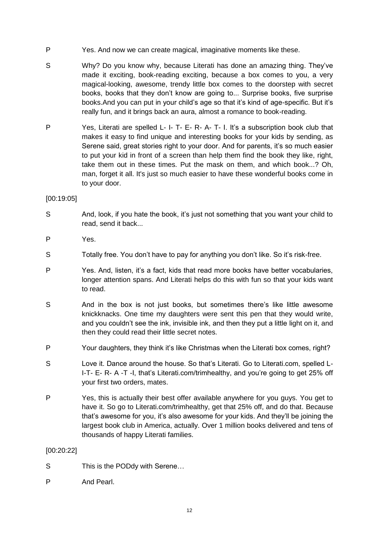- P Yes. And now we can create magical, imaginative moments like these.
- S Why? Do you know why, because Literati has done an amazing thing. They've made it exciting, book-reading exciting, because a box comes to you, a very magical-looking, awesome, trendy little box comes to the doorstep with secret books, books that they don't know are going to... Surprise books, five surprise books.And you can put in your child's age so that it's kind of age-specific. But it's really fun, and it brings back an aura, almost a romance to book-reading.
- P Yes, Literati are spelled L- I- T- E- R- A- T- I. It's a subscription book club that makes it easy to find unique and interesting books for your kids by sending, as Serene said, great stories right to your door. And for parents, it's so much easier to put your kid in front of a screen than help them find the book they like, right, take them out in these times. Put the mask on them, and which book...? Oh, man, forget it all. It's just so much easier to have these wonderful books come in to your door.

## [00:19:05]

- S And, look, if you hate the book, it's just not something that you want your child to read, send it back...
- P Yes.
- S Totally free. You don't have to pay for anything you don't like. So it's risk-free.
- P Yes. And, listen, it's a fact, kids that read more books have better vocabularies, longer attention spans. And Literati helps do this with fun so that your kids want to read.
- S And in the box is not just books, but sometimes there's like little awesome knickknacks. One time my daughters were sent this pen that they would write, and you couldn't see the ink, invisible ink, and then they put a little light on it, and then they could read their little secret notes.
- P Your daughters, they think it's like Christmas when the Literati box comes, right?
- S Love it. Dance around the house. So that's Literati. Go to Literati.com, spelled L-I-T- E- R- A -T -I, that's Literati.com/trimhealthy, and you're going to get 25% off your first two orders, mates.
- P Yes, this is actually their best offer available anywhere for you guys. You get to have it. So go to Literati.com/trimhealthy, get that 25% off, and do that. Because that's awesome for you, it's also awesome for your kids. And they'll be joining the largest book club in America, actually. Over 1 million books delivered and tens of thousands of happy Literati families.

## [00:20:22]

- S This is the PODdy with Serene...
- P And Pearl.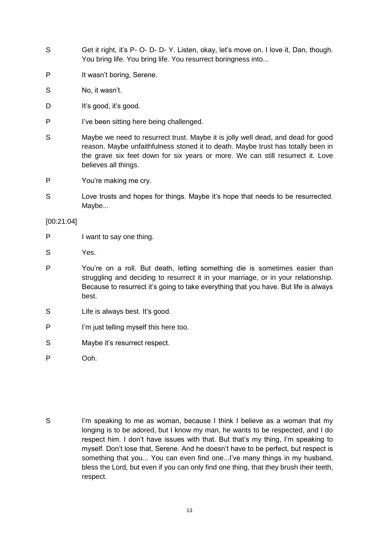- S Get it right, it's P- O- D- D- Y. Listen, okay, let's move on. I love it, Dan, though. You bring life. You bring life. You resurrect boringness into...
- P It wasn't boring, Serene.
- S No, it wasn't.
- D It's good, it's good.
- P I've been sitting here being challenged.
- S Maybe we need to resurrect trust. Maybe it is jolly well dead, and dead for good reason. Maybe unfaithfulness stoned it to death. Maybe trust has totally been in the grave six feet down for six years or more. We can still resurrect it. Love believes all things.
- P You're making me cry.
- S Love trusts and hopes for things. Maybe it's hope that needs to be resurrected. Maybe...

[00:21:04]

- P I want to say one thing.
- S Yes.
- P You're on a roll. But death, letting something die is sometimes easier than struggling and deciding to resurrect it in your marriage, or in your relationship. Because to resurrect it's going to take everything that you have. But life is always best.
- S Life is always best. It's good.
- P I'm just telling myself this here too.
- S Maybe it's resurrect respect.
- P Ooh.
- S I'm speaking to me as woman, because I think I believe as a woman that my longing is to be adored, but I know my man, he wants to be respected, and I do respect him. I don't have issues with that. But that's my thing, I'm speaking to myself. Don't lose that, Serene. And he doesn't have to be perfect, but respect is something that you... You can even find one...I've many things in my husband, bless the Lord, but even if you can only find one thing, that they brush their teeth, respect.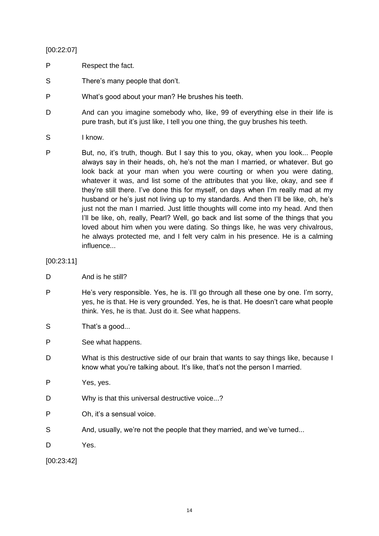## [00:22:07]

- P Respect the fact.
- S There's many people that don't.
- P What's good about your man? He brushes his teeth.
- D And can you imagine somebody who, like, 99 of everything else in their life is pure trash, but it's just like, I tell you one thing, the guy brushes his teeth.
- S I know.
- P But, no, it's truth, though. But I say this to you, okay, when you look... People always say in their heads, oh, he's not the man I married, or whatever. But go look back at your man when you were courting or when you were dating, whatever it was, and list some of the attributes that you like, okay, and see if they're still there. I've done this for myself, on days when I'm really mad at my husband or he's just not living up to my standards. And then I'll be like, oh, he's just not the man I married. Just little thoughts will come into my head. And then I'll be like, oh, really, Pearl? Well, go back and list some of the things that you loved about him when you were dating. So things like, he was very chivalrous, he always protected me, and I felt very calm in his presence. He is a calming influence...

# [00:23:11]

- D And is he still?
- P He's very responsible. Yes, he is. I'll go through all these one by one. I'm sorry, yes, he is that. He is very grounded. Yes, he is that. He doesn't care what people think. Yes, he is that. Just do it. See what happens.
- S That's a good...
- P See what happens.
- D What is this destructive side of our brain that wants to say things like, because I know what you're talking about. It's like, that's not the person I married.
- P Yes, yes.
- D Why is that this universal destructive voice...?
- P Oh, it's a sensual voice.
- S And, usually, we're not the people that they married, and we've turned...
- D Yes.

[00:23:42]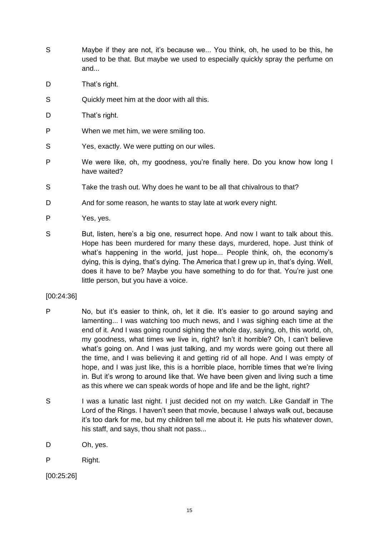- S Maybe if they are not, it's because we... You think, oh, he used to be this, he used to be that. But maybe we used to especially quickly spray the perfume on and...
- D That's right.
- S Quickly meet him at the door with all this.
- D That's right.
- P When we met him, we were smiling too.
- S Yes, exactly. We were putting on our wiles.
- P We were like, oh, my goodness, you're finally here. Do you know how long I have waited?
- S Take the trash out. Why does he want to be all that chivalrous to that?
- D And for some reason, he wants to stay late at work every night.
- P Yes, yes.
- S But, listen, here's a big one, resurrect hope. And now I want to talk about this. Hope has been murdered for many these days, murdered, hope. Just think of what's happening in the world, just hope... People think, oh, the economy's dying, this is dying, that's dying. The America that I grew up in, that's dying. Well, does it have to be? Maybe you have something to do for that. You're just one little person, but you have a voice.

## [00:24:36]

- P No, but it's easier to think, oh, let it die. It's easier to go around saying and lamenting... I was watching too much news, and I was sighing each time at the end of it. And I was going round sighing the whole day, saying, oh, this world, oh, my goodness, what times we live in, right? Isn't it horrible? Oh, I can't believe what's going on. And I was just talking, and my words were going out there all the time, and I was believing it and getting rid of all hope. And I was empty of hope, and I was just like, this is a horrible place, horrible times that we're living in. But it's wrong to around like that. We have been given and living such a time as this where we can speak words of hope and life and be the light, right?
- S I was a lunatic last night. I just decided not on my watch. Like Gandalf in The Lord of the Rings. I haven't seen that movie, because I always walk out, because it's too dark for me, but my children tell me about it. He puts his whatever down, his staff, and says, thou shalt not pass...
- D Oh, yes.
- P Right.
- [00:25:26]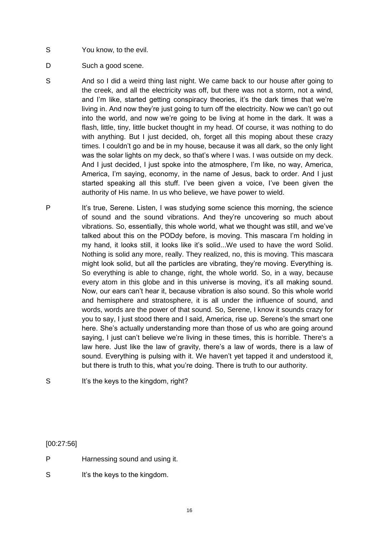- S You know, to the evil.
- D Such a good scene.
- S And so I did a weird thing last night. We came back to our house after going to the creek, and all the electricity was off, but there was not a storm, not a wind, and I'm like, started getting conspiracy theories, it's the dark times that we're living in. And now they're just going to turn off the electricity. Now we can't go out into the world, and now we're going to be living at home in the dark. It was a flash, little, tiny, little bucket thought in my head. Of course, it was nothing to do with anything. But I just decided, oh, forget all this moping about these crazy times. I couldn't go and be in my house, because it was all dark, so the only light was the solar lights on my deck, so that's where I was. I was outside on my deck. And I just decided, I just spoke into the atmosphere, I'm like, no way, America, America, I'm saying, economy, in the name of Jesus, back to order. And I just started speaking all this stuff. I've been given a voice, I've been given the authority of His name. In us who believe, we have power to wield.
- P It's true, Serene. Listen, I was studying some science this morning, the science of sound and the sound vibrations. And they're uncovering so much about vibrations. So, essentially, this whole world, what we thought was still, and we've talked about this on the PODdy before, is moving. This mascara I'm holding in my hand, it looks still, it looks like it's solid...We used to have the word Solid. Nothing is solid any more, really. They realized, no, this is moving. This mascara might look solid, but all the particles are vibrating, they're moving. Everything is. So everything is able to change, right, the whole world. So, in a way, because every atom in this globe and in this universe is moving, it's all making sound. Now, our ears can't hear it, because vibration is also sound. So this whole world and hemisphere and stratosphere, it is all under the influence of sound, and words, words are the power of that sound. So, Serene, I know it sounds crazy for you to say, I just stood there and I said, America, rise up. Serene's the smart one here. She's actually understanding more than those of us who are going around saying, I just can't believe we're living in these times, this is horrible. There's a law here. Just like the law of gravity, there's a law of words, there is a law of sound. Everything is pulsing with it. We haven't yet tapped it and understood it, but there is truth to this, what you're doing. There is truth to our authority.

S It's the keys to the kingdom, right?

[00:27:56]

- P Harnessing sound and using it.
- S It's the keys to the kingdom.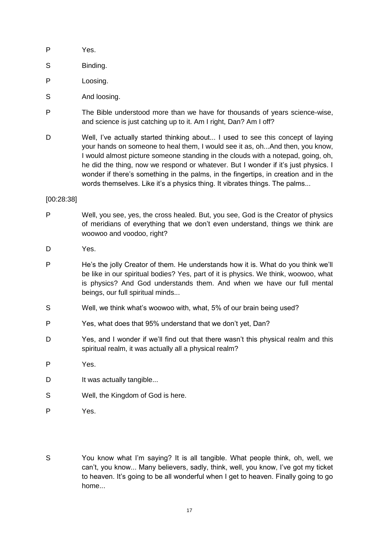- P Yes.
- S Binding.
- P Loosing.
- S And loosing.
- P The Bible understood more than we have for thousands of years science-wise, and science is just catching up to it. Am I right, Dan? Am I off?
- D Well, I've actually started thinking about... I used to see this concept of laying your hands on someone to heal them, I would see it as, oh...And then, you know, I would almost picture someone standing in the clouds with a notepad, going, oh, he did the thing, now we respond or whatever. But I wonder if it's just physics. I wonder if there's something in the palms, in the fingertips, in creation and in the words themselves. Like it's a physics thing. It vibrates things. The palms...

#### [00:28:38]

- P Well, you see, yes, the cross healed. But, you see, God is the Creator of physics of meridians of everything that we don't even understand, things we think are woowoo and voodoo, right?
- D Yes.
- P He's the jolly Creator of them. He understands how it is. What do you think we'll be like in our spiritual bodies? Yes, part of it is physics. We think, woowoo, what is physics? And God understands them. And when we have our full mental beings, our full spiritual minds...
- S Well, we think what's woowoo with, what, 5% of our brain being used?
- P Yes, what does that 95% understand that we don't yet, Dan?
- D Yes, and I wonder if we'll find out that there wasn't this physical realm and this spiritual realm, it was actually all a physical realm?
- P Yes.
- D It was actually tangible...
- S Well, the Kingdom of God is here.
- P Yes.
- S You know what I'm saying? It is all tangible. What people think, oh, well, we can't, you know... Many believers, sadly, think, well, you know, I've got my ticket to heaven. It's going to be all wonderful when I get to heaven. Finally going to go home...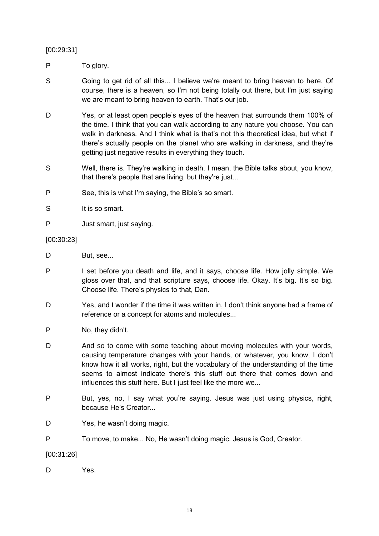[00:29:31]

P To glory.

- S Going to get rid of all this... I believe we're meant to bring heaven to here. Of course, there is a heaven, so I'm not being totally out there, but I'm just saying we are meant to bring heaven to earth. That's our job.
- D Yes, or at least open people's eyes of the heaven that surrounds them 100% of the time. I think that you can walk according to any nature you choose. You can walk in darkness. And I think what is that's not this theoretical idea, but what if there's actually people on the planet who are walking in darkness, and they're getting just negative results in everything they touch.
- S Well, there is. They're walking in death. I mean, the Bible talks about, you know, that there's people that are living, but they're just...
- P See, this is what I'm saying, the Bible's so smart.
- S It is so smart.
- P Just smart, just saying.

## [00:30:23]

- D But, see...
- P I set before you death and life, and it says, choose life. How jolly simple. We gloss over that, and that scripture says, choose life. Okay. It's big. It's so big. Choose life. There's physics to that, Dan.
- D Yes, and I wonder if the time it was written in, I don't think anyone had a frame of reference or a concept for atoms and molecules...
- P No, they didn't.
- D And so to come with some teaching about moving molecules with your words, causing temperature changes with your hands, or whatever, you know, I don't know how it all works, right, but the vocabulary of the understanding of the time seems to almost indicate there's this stuff out there that comes down and influences this stuff here. But I just feel like the more we...
- P But, yes, no, I say what you're saying. Jesus was just using physics, right, because He's Creator...
- D Yes, he wasn't doing magic.
- P To move, to make... No, He wasn't doing magic. Jesus is God, Creator.

[00:31:26]

D Yes.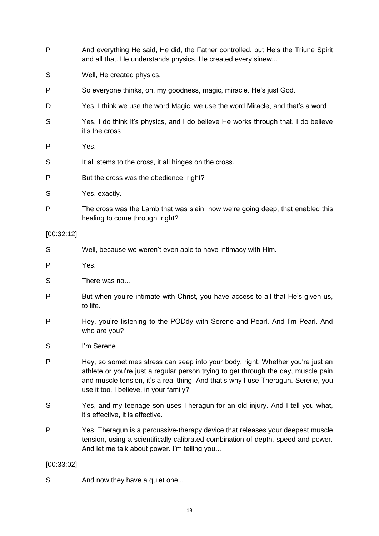- P And everything He said, He did, the Father controlled, but He's the Triune Spirit and all that. He understands physics. He created every sinew...
- S Well, He created physics.
- P So everyone thinks, oh, my goodness, magic, miracle. He's just God.
- D Yes, I think we use the word Magic, we use the word Miracle, and that's a word...
- S Yes, I do think it's physics, and I do believe He works through that. I do believe it's the cross.
- P Yes.
- S It all stems to the cross, it all hinges on the cross.
- P But the cross was the obedience, right?
- S Yes, exactly.
- P The cross was the Lamb that was slain, now we're going deep, that enabled this healing to come through, right?

#### [00:32:12]

- S Well, because we weren't even able to have intimacy with Him.
- P Yes.
- S There was no...
- P But when you're intimate with Christ, you have access to all that He's given us, to life.
- P Hey, you're listening to the PODdy with Serene and Pearl. And I'm Pearl. And who are you?
- S I'm Serene.
- P Hey, so sometimes stress can seep into your body, right. Whether you're just an athlete or you're just a regular person trying to get through the day, muscle pain and muscle tension, it's a real thing. And that's why I use Theragun. Serene, you use it too, I believe, in your family?
- S Yes, and my teenage son uses Theragun for an old injury. And I tell you what, it's effective, it is effective.
- P Yes. Theragun is a percussive-therapy device that releases your deepest muscle tension, using a scientifically calibrated combination of depth, speed and power. And let me talk about power. I'm telling you...

#### [00:33:02]

S And now they have a quiet one...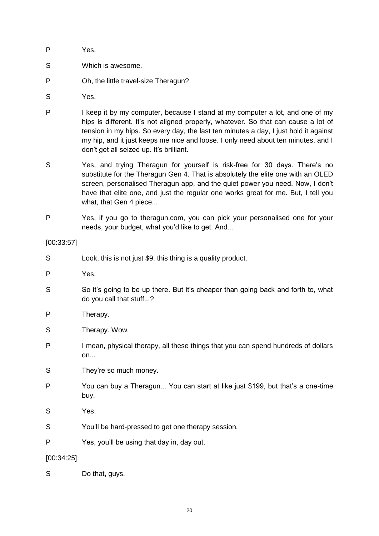- P Yes.
- S Which is awesome.
- P Oh, the little travel-size Theragun?
- S Yes.
- P I keep it by my computer, because I stand at my computer a lot, and one of my hips is different. It's not aligned properly, whatever. So that can cause a lot of tension in my hips. So every day, the last ten minutes a day, I just hold it against my hip, and it just keeps me nice and loose. I only need about ten minutes, and I don't get all seized up. It's brilliant.
- S Yes, and trying Theragun for yourself is risk-free for 30 days. There's no substitute for the Theragun Gen 4. That is absolutely the elite one with an OLED screen, personalised Theragun app, and the quiet power you need. Now, I don't have that elite one, and just the regular one works great for me. But, I tell you what, that Gen 4 piece...
- P Yes, if you go to theragun.com, you can pick your personalised one for your needs, your budget, what you'd like to get. And...

[00:33:57]

- S Look, this is not just \$9, this thing is a quality product.
- P Yes.
- S So it's going to be up there. But it's cheaper than going back and forth to, what do you call that stuff...?
- P Therapy.
- S Therapy. Wow.
- P I mean, physical therapy, all these things that you can spend hundreds of dollars on...
- S They're so much money.
- P You can buy a Theragun... You can start at like just \$199, but that's a one-time buy.
- S Yes.
- S You'll be hard-pressed to get one therapy session.
- P Yes, you'll be using that day in, day out.

[00:34:25]

S Do that, guys.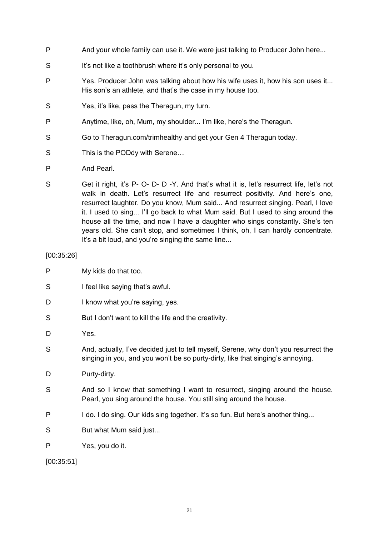- P And your whole family can use it. We were just talking to Producer John here...
- S It's not like a toothbrush where it's only personal to you.
- P Yes. Producer John was talking about how his wife uses it, how his son uses it... His son's an athlete, and that's the case in my house too.
- S Yes, it's like, pass the Theragun, my turn.
- P Anytime, like, oh, Mum, my shoulder... I'm like, here's the Theragun.
- S Go to Theragun.com/trimhealthy and get your Gen 4 Theragun today.
- S This is the PODdy with Serene...
- P And Pearl.
- S Get it right, it's P- O- D- D-Y. And that's what it is, let's resurrect life, let's not walk in death. Let's resurrect life and resurrect positivity. And here's one, resurrect laughter. Do you know, Mum said... And resurrect singing. Pearl, I love it. I used to sing... I'll go back to what Mum said. But I used to sing around the house all the time, and now I have a daughter who sings constantly. She's ten years old. She can't stop, and sometimes I think, oh, I can hardly concentrate. It's a bit loud, and you're singing the same line...

[00:35:26]

- P My kids do that too.
- S I feel like saying that's awful.
- D I know what you're saying, yes.
- S But I don't want to kill the life and the creativity.
- D Yes.
- S And, actually, I've decided just to tell myself, Serene, why don't you resurrect the singing in you, and you won't be so purty-dirty, like that singing's annoying.
- D Purty-dirty.
- S And so I know that something I want to resurrect, singing around the house. Pearl, you sing around the house. You still sing around the house.
- P I do. I do sing. Our kids sing together. It's so fun. But here's another thing...
- S But what Mum said just...
- P Yes, you do it.

[00:35:51]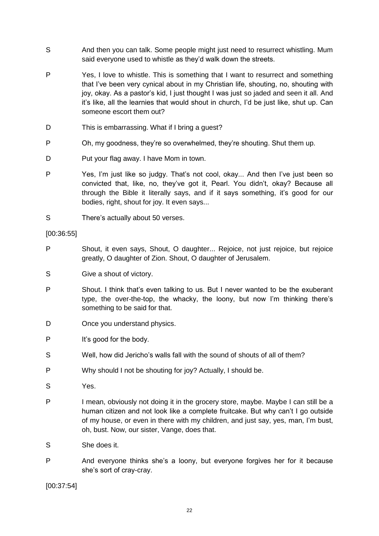- S And then you can talk. Some people might just need to resurrect whistling. Mum said everyone used to whistle as they'd walk down the streets.
- P Yes, I love to whistle. This is something that I want to resurrect and something that I've been very cynical about in my Christian life, shouting, no, shouting with joy, okay. As a pastor's kid, I just thought I was just so jaded and seen it all. And it's like, all the learnies that would shout in church, I'd be just like, shut up. Can someone escort them out?
- D This is embarrassing. What if I bring a quest?
- P Oh, my goodness, they're so overwhelmed, they're shouting. Shut them up.
- D Put your flag away. I have Mom in town.
- P Yes, I'm just like so judgy. That's not cool, okay... And then I've just been so convicted that, like, no, they've got it, Pearl. You didn't, okay? Because all through the Bible it literally says, and if it says something, it's good for our bodies, right, shout for joy. It even says...
- S There's actually about 50 verses.

[00:36:55]

- P Shout, it even says, Shout, O daughter... Rejoice, not just rejoice, but rejoice greatly, O daughter of Zion. Shout, O daughter of Jerusalem.
- S Give a shout of victory.
- P Shout. I think that's even talking to us. But I never wanted to be the exuberant type, the over-the-top, the whacky, the loony, but now I'm thinking there's something to be said for that.
- D Once you understand physics.
- P It's good for the body.
- S Well, how did Jericho's walls fall with the sound of shouts of all of them?
- P Why should I not be shouting for joy? Actually, I should be.
- S Yes.
- P I mean, obviously not doing it in the grocery store, maybe. Maybe I can still be a human citizen and not look like a complete fruitcake. But why can't I go outside of my house, or even in there with my children, and just say, yes, man, I'm bust, oh, bust. Now, our sister, Vange, does that.
- S She does it.
- P And everyone thinks she's a loony, but everyone forgives her for it because she's sort of cray-cray.

[00:37:54]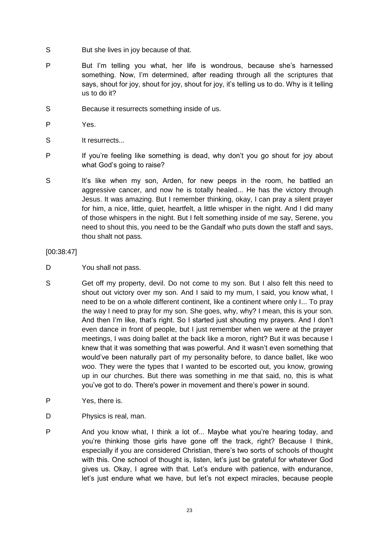- S But she lives in joy because of that.
- P But I'm telling you what, her life is wondrous, because she's harnessed something. Now, I'm determined, after reading through all the scriptures that says, shout for joy, shout for joy, shout for joy, it's telling us to do. Why is it telling us to do it?
- S Because it resurrects something inside of us.
- P Yes.
- S It resurrects...
- P If you're feeling like something is dead, why don't you go shout for joy about what God's going to raise?
- S It's like when my son, Arden, for new peeps in the room, he battled an aggressive cancer, and now he is totally healed... He has the victory through Jesus. It was amazing. But I remember thinking, okay, I can pray a silent prayer for him, a nice, little, quiet, heartfelt, a little whisper in the night. And I did many of those whispers in the night. But I felt something inside of me say, Serene, you need to shout this, you need to be the Gandalf who puts down the staff and says, thou shalt not pass.

## [00:38:47]

- D You shall not pass.
- S Get off my property, devil. Do not come to my son. But I also felt this need to shout out victory over my son. And I said to my mum, I said, you know what, I need to be on a whole different continent, like a continent where only I... To pray the way I need to pray for my son. She goes, why, why? I mean, this is your son. And then I'm like, that's right. So I started just shouting my prayers. And I don't even dance in front of people, but I just remember when we were at the prayer meetings, I was doing ballet at the back like a moron, right? But it was because I knew that it was something that was powerful. And it wasn't even something that would've been naturally part of my personality before, to dance ballet, like woo woo. They were the types that I wanted to be escorted out, you know, growing up in our churches. But there was something in me that said, no, this is what you've got to do. There's power in movement and there's power in sound.
- P Yes, there is.
- D Physics is real, man.
- P And you know what, I think a lot of... Maybe what you're hearing today, and you're thinking those girls have gone off the track, right? Because I think, especially if you are considered Christian, there's two sorts of schools of thought with this. One school of thought is, listen, let's just be grateful for whatever God gives us. Okay, I agree with that. Let's endure with patience, with endurance, let's just endure what we have, but let's not expect miracles, because people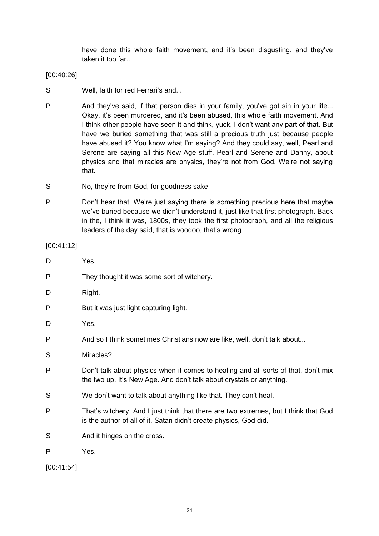have done this whole faith movement, and it's been disgusting, and they've taken it too far...

## [00:40:26]

- S Well, faith for red Ferrari's and...
- P And they've said, if that person dies in your family, you've got sin in your life... Okay, it's been murdered, and it's been abused, this whole faith movement. And I think other people have seen it and think, yuck, I don't want any part of that. But have we buried something that was still a precious truth just because people have abused it? You know what I'm saying? And they could say, well, Pearl and Serene are saying all this New Age stuff, Pearl and Serene and Danny, about physics and that miracles are physics, they're not from God. We're not saying that.
- S No, they're from God, for goodness sake.
- P Don't hear that. We're just saying there is something precious here that maybe we've buried because we didn't understand it, just like that first photograph. Back in the, I think it was, 1800s, they took the first photograph, and all the religious leaders of the day said, that is voodoo, that's wrong.

[00:41:12]

| D | Yes.                                                                                                                                                       |
|---|------------------------------------------------------------------------------------------------------------------------------------------------------------|
| P | They thought it was some sort of witchery.                                                                                                                 |
| D | Right.                                                                                                                                                     |
| P | But it was just light capturing light.                                                                                                                     |
| D | Yes.                                                                                                                                                       |
| P | And so I think sometimes Christians now are like, well, don't talk about                                                                                   |
| S | Miracles?                                                                                                                                                  |
| P | Don't talk about physics when it comes to healing and all sorts of that, don't mix<br>the two up. It's New Age. And don't talk about crystals or anything. |
| S | We don't want to talk about anything like that. They can't heal.                                                                                           |
| P | That's witchery. And I just think that there are two extremes, but I think that God<br>is the author of all of it. Satan didn't create physics, God did.   |
| S | And it hinges on the cross.                                                                                                                                |
| P | Yes.                                                                                                                                                       |
|   |                                                                                                                                                            |

[00:41:54]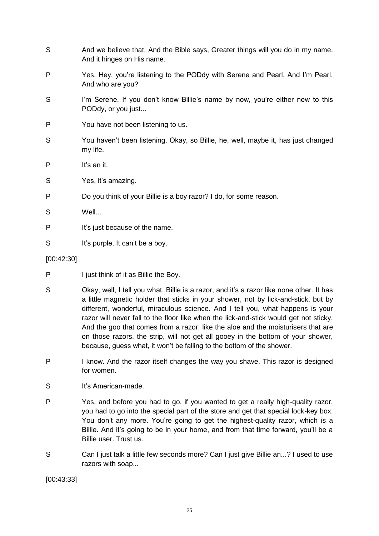| S          | And we believe that. And the Bible says, Greater things will you do in my name.<br>And it hinges on His name. |
|------------|---------------------------------------------------------------------------------------------------------------|
| P          | Yes. Hey, you're listening to the PODdy with Serene and Pearl. And I'm Pearl.<br>And who are you?             |
| S          | I'm Serene. If you don't know Billie's name by now, you're either new to this<br>PODdy, or you just           |
| P          | You have not been listening to us.                                                                            |
| S          | You haven't been listening. Okay, so Billie, he, well, maybe it, has just changed<br>my life.                 |
| P          | It's an it.                                                                                                   |
| S          | Yes, it's amazing.                                                                                            |
| P          | Do you think of your Billie is a boy razor? I do, for some reason.                                            |
| S          | Well                                                                                                          |
| Ρ          | It's just because of the name.                                                                                |
| S          | It's purple. It can't be a boy.                                                                               |
| [00:42:30] |                                                                                                               |
| P          | I just think of it as Billie the Boy.                                                                         |

- S Okay, well, I tell you what, Billie is a razor, and it's a razor like none other. It has a little magnetic holder that sticks in your shower, not by lick-and-stick, but by different, wonderful, miraculous science. And I tell you, what happens is your razor will never fall to the floor like when the lick-and-stick would get not sticky. And the goo that comes from a razor, like the aloe and the moisturisers that are on those razors, the strip, will not get all gooey in the bottom of your shower, because, guess what, it won't be falling to the bottom of the shower.
- P I know. And the razor itself changes the way you shave. This razor is designed for women.
- S It's American-made.
- P Yes, and before you had to go, if you wanted to get a really high-quality razor, you had to go into the special part of the store and get that special lock-key box. You don't any more. You're going to get the highest-quality razor, which is a Billie. And it's going to be in your home, and from that time forward, you'll be a Billie user. Trust us.
- S Can I just talk a little few seconds more? Can I just give Billie an...? I used to use razors with soap...

[00:43:33]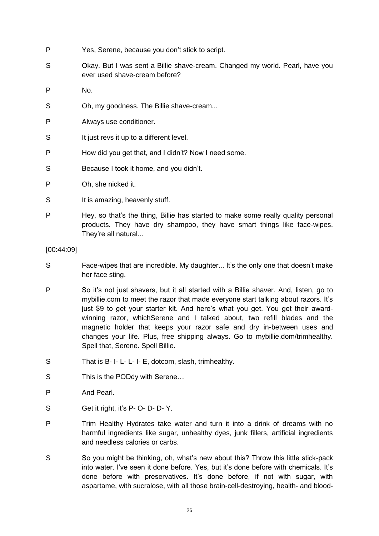- P Yes, Serene, because you don't stick to script.
- S Okay. But I was sent a Billie shave-cream. Changed my world. Pearl, have you ever used shave-cream before?
- P No.
- S Oh, my goodness. The Billie shave-cream...
- P Always use conditioner.
- S It just revs it up to a different level.
- P How did you get that, and I didn't? Now I need some.
- S Because I took it home, and you didn't.
- P Oh, she nicked it.
- S It is amazing, heavenly stuff.
- P Hey, so that's the thing, Billie has started to make some really quality personal products. They have dry shampoo, they have smart things like face-wipes. They're all natural...

[00:44:09]

- S Face-wipes that are incredible. My daughter... It's the only one that doesn't make her face sting.
- P So it's not just shavers, but it all started with a Billie shaver. And, listen, go to mybillie.com to meet the razor that made everyone start talking about razors. It's just \$9 to get your starter kit. And here's what you get. You get their awardwinning razor, whichSerene and I talked about, two refill blades and the magnetic holder that keeps your razor safe and dry in-between uses and changes your life. Plus, free shipping always. Go to mybillie.dom/trimhealthy. Spell that, Serene. Spell Billie.
- S That is B- I- L- L- I- E, dotcom, slash, trimhealthy.
- S This is the PODdy with Serene...
- P And Pearl.
- S Get it right, it's P- O- D- D- Y.
- P Trim Healthy Hydrates take water and turn it into a drink of dreams with no harmful ingredients like sugar, unhealthy dyes, junk fillers, artificial ingredients and needless calories or carbs.
- S So you might be thinking, oh, what's new about this? Throw this little stick-pack into water. I've seen it done before. Yes, but it's done before with chemicals. It's done before with preservatives. It's done before, if not with sugar, with aspartame, with sucralose, with all those brain-cell-destroying, health- and blood-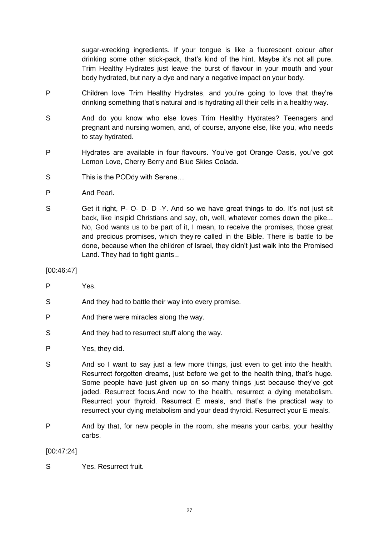sugar-wrecking ingredients. If your tongue is like a fluorescent colour after drinking some other stick-pack, that's kind of the hint. Maybe it's not all pure. Trim Healthy Hydrates just leave the burst of flavour in your mouth and your body hydrated, but nary a dye and nary a negative impact on your body.

- P Children love Trim Healthy Hydrates, and you're going to love that they're drinking something that's natural and is hydrating all their cells in a healthy way.
- S And do you know who else loves Trim Healthy Hydrates? Teenagers and pregnant and nursing women, and, of course, anyone else, like you, who needs to stay hydrated.
- P Hydrates are available in four flavours. You've got Orange Oasis, you've got Lemon Love, Cherry Berry and Blue Skies Colada.
- S This is the PODdy with Serene...
- P And Pearl.
- S Get it right, P- O- D- D-Y. And so we have great things to do. It's not just sit back, like insipid Christians and say, oh, well, whatever comes down the pike... No, God wants us to be part of it, I mean, to receive the promises, those great and precious promises, which they're called in the Bible. There is battle to be done, because when the children of Israel, they didn't just walk into the Promised Land. They had to fight giants...

[00:46:47]

- P Yes.
- S And they had to battle their way into every promise.
- P And there were miracles along the way.
- S And they had to resurrect stuff along the way.
- P Yes, they did.
- S And so I want to say just a few more things, just even to get into the health. Resurrect forgotten dreams, just before we get to the health thing, that's huge. Some people have just given up on so many things just because they've got jaded. Resurrect focus.And now to the health, resurrect a dying metabolism. Resurrect your thyroid. Resurrect E meals, and that's the practical way to resurrect your dying metabolism and your dead thyroid. Resurrect your E meals.
- P And by that, for new people in the room, she means your carbs, your healthy carbs.

# [00:47:24]

S Yes. Resurrect fruit.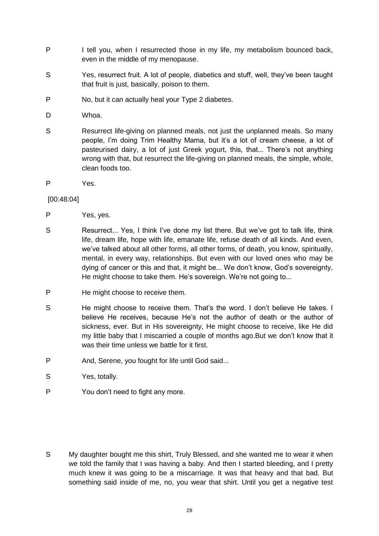- P I tell you, when I resurrected those in my life, my metabolism bounced back, even in the middle of my menopause.
- S Yes, resurrect fruit. A lot of people, diabetics and stuff, well, they've been taught that fruit is just, basically, poison to them.
- P No, but it can actually heal your Type 2 diabetes.
- D Whoa.
- S Resurrect life-giving on planned meals, not just the unplanned meals. So many people, I'm doing Trim Healthy Mama, but it's a lot of cream cheese, a lot of pasteurised dairy, a lot of just Greek yogurt, this, that... There's not anything wrong with that, but resurrect the life-giving on planned meals, the simple, whole, clean foods too.
- P Yes.

## [00:48:04]

- P Yes, ves.
- S Resurrect... Yes, I think I've done my list there. But we've got to talk life, think life, dream life, hope with life, emanate life, refuse death of all kinds. And even, we've talked about all other forms, all other forms, of death, you know, spiritually, mental, in every way, relationships. But even with our loved ones who may be dying of cancer or this and that, it might be... We don't know, God's sovereignty, He might choose to take them. He's sovereign. We're not going to...
- P He might choose to receive them.
- S He might choose to receive them. That's the word. I don't believe He takes. I believe He receives, because He's not the author of death or the author of sickness, ever. But in His sovereignty, He might choose to receive, like He did my little baby that I miscarried a couple of months ago.But we don't know that it was their time unless we battle for it first.
- P And, Serene, you fought for life until God said...
- S Yes, totally.
- P You don't need to fight any more.

S My daughter bought me this shirt, Truly Blessed, and she wanted me to wear it when we told the family that I was having a baby. And then I started bleeding, and I pretty much knew it was going to be a miscarriage. It was that heavy and that bad. But something said inside of me, no, you wear that shirt. Until you get a negative test